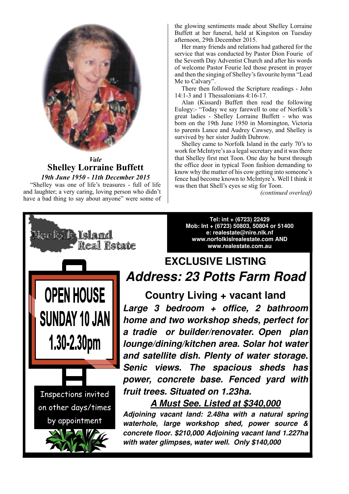

*Vale* **Shelley Lorraine Buffett**

*19th June 1950 - 11th December 2015* "Shelley was one of life's treasures - full of life and laughter; a very caring, loving person who didn't have a bad thing to say about anyone" were some of the glowing sentiments made about Shelley Lorraine Buffett at her funeral, held at Kingston on Tuesday afternoon, 29th December 2015.

Her many friends and relations had gathered for the service that was conducted by Pastor Dion Fourie of the Seventh Day Adventist Church and after his words of welcome Pastor Fourie led those present in prayer and then the singing of Shelley's favourite hymn "Lead Me to Calvary".

There then followed the Scripture readings - John 14:1-3 and 1 Thessalonians 4:16-17.

Alan (Kissard) Buffett then read the following Eulogy:- "Today we say farewell to one of Norfolk's great ladies - Shelley Lorraine Buffett - who was born on the 19th June 1950 in Mornington, Victoria to parents Lance and Audrey Cawsey, and Shelley is survived by her sister Judith Dubrow.

Shelley came to Norfolk Island in the early 70's to work for McIntyre's as a legal secretary and it was there that Shelley first met Toon. One day he burst through the office door in typical Toon fashion demanding to know why the matter of his cow getting into someone's fence had become known to McIntyre's. Well I think it was then that Shell's eyes se stig for Toon.

*(continued overleaf)*



**Tel: int + (6723) 22429 Mob: Int + (6723) 50803, 50804 or 51400 e: realestate@nire.nlk.nf www.norfolkislrealestate.com AND www.realestate.com.au** 

# **EXCLUSIVE LISTING Address: 23 Potts Farm Road**

**Country Living + vacant land Large 3 bedroom + office, 2 bathroom home and two workshop sheds, perfect for a tradie or builder/renovater. Open plan lounge/dining/kitchen area. Solar hot water and satellite dish. Plenty of water storage. Senic views. The spacious sheds has power, concrete base. Fenced yard with fruit trees. Situated on 1.23ha.** 

### **A Must See. Listed at \$340,000**

**Adjoining vacant land: 2.48ha with a natural spring waterhole, large workshop shed, power source & concrete floor. \$210,000 Adjoining vacant land 1.227ha with water glimpses, water well. Only \$140,000**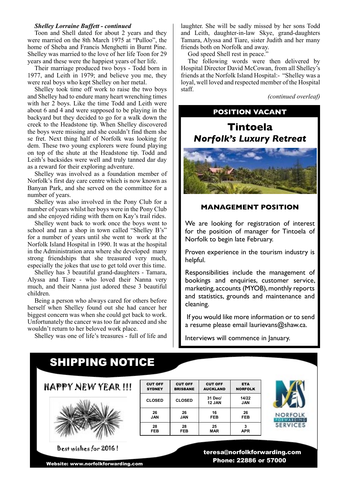#### *Shelley Lorraine Buffett - continued*

Toon and Shell dated for about 2 years and they were married on the 8th March 1975 at "Pulloo", the home of Sheba and Francis Menghetti in Burnt Pine. Shelley was married to the love of her life Toon for 29 years and these were the happiest years of her life.

Their marriage produced two boys - Todd born in 1977, and Leith in 1979; and believe you me, they were real boys who kept Shelley on her metal.

Shelley took time off work to raise the two boys and Shelley had to endure many heart wrenching times with her 2 boys. Like the time Todd and Leith were about 6 and 4 and were supposed to be playing in the backyard but they decided to go for a walk down the creek to the Headstone tip. When Shelley discovered the boys were missing and she couldn't find them she se fret. Next thing half of Norfolk was looking for dem. These two young explorers were found playing on top of the shute at the Headstone tip. Todd and Leith's backsides were well and truly tanned dar day as a reward for their exploring adventure.

Shelley was involved as a foundation member of Norfolk's first day care centre which is now known as Banyan Park, and she served on the committee for a number of years.

Shelley was also involved in the Pony Club for a number of years whilst her boys were in the Pony Club and she enjoyed riding with them on Kay's trail rides.

Shelley went back to work once the boys went to school and ran a shop in town called "Shelley B's" for a number of years until she went to work at the Norfolk Island Hospital in 1990. It was at the hospital in the Administration area where she developed many strong friendships that she treasured very much, especially the jokes that use to get told over this time.

Shelley has 3 beautiful grand-daughters - Tamara, Alyssa and Tiare - who loved their Nanna very much, and their Nanna just adored these 3 beautiful children.

Being a person who always cared for others before herself when Shelley found out she had cancer her biggest concern was when she could get back to work. Unfortunately the cancer was too far advanced and she wouldn't return to her beloved work place.

Shelley was one of life's treasures - full of life and

laughter. She will be sadly missed by her sons Todd and Leith, daughter-in-law Skye, grand-daughters Tamara, Alyssa and Tiare, sister Judith and her many friends both on Norfolk and away.

God speed Shell rest in peace."

The following words were then delivered by Hospital Director David McCowan, from all Shelley's friends at the Norfolk Island Hospital:- "Shelley was a loyal, well loved and respected member of the Hospital staff.

*(continued overleaf)*

# **POSITION VACANT Tintoela** *Norfolk's Luxury Retreat*



#### **MANAGEMENT POSITION**

We are looking for registration of interest for the position of manager for Tintoela of Norfolk to begin late February.

Proven experience in the tourism industry is helpful.

Responsibilities include the management of bookings and enquiries, customer service, marketing, accounts (MYOB), monthly reports and statistics, grounds and maintenance and cleaning.

 If you would like more information or to send a resume please email laurievans@shaw.ca.

Interviews will commence in January.

## SHIPPING NOTICE

HAPPY NEW YEAR !!!



Best wishes for 2016 !

Website: www.norfolkforwarding.com

CUT OFF **SYDNEY** CUT OFF BRISBANE CUT OFF AUCKLAND ETA NORFOLK **CLOSED CLOSED 31 Dec/ 12 JAN 14/22 JAN 26 JAN 26 JAN 16 FEB 26 FEB 28 FEB 28 FEB 25 MAR 3 APR**

I



 teresa@norfolkforwarding.com Phone: 22886 or 57000